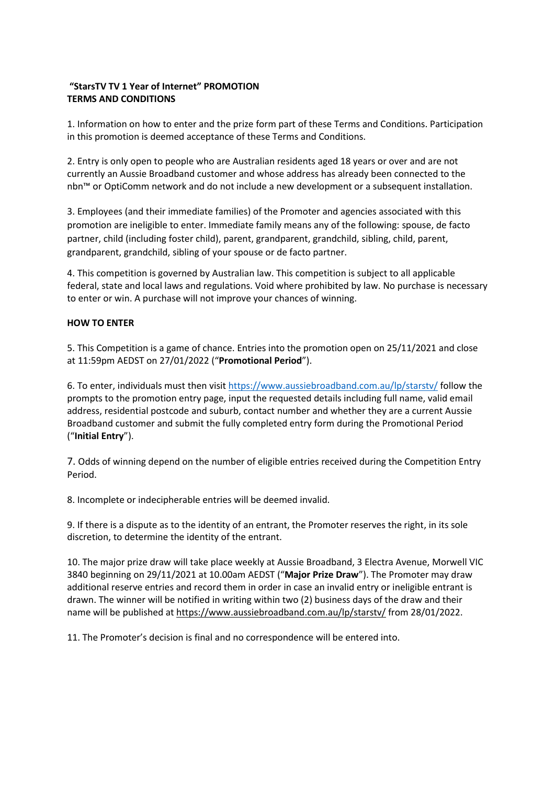### **"StarsTV TV 1 Year of Internet" PROMOTION TERMS AND CONDITIONS**

1. Information on how to enter and the prize form part of these Terms and Conditions. Participation in this promotion is deemed acceptance of these Terms and Conditions.

2. Entry is only open to people who are Australian residents aged 18 years or over and are not currently an Aussie Broadband customer and whose address has already been connected to the nbn™️ or OptiComm network and do not include a new development or a subsequent installation.

3. Employees (and their immediate families) of the Promoter and agencies associated with this promotion are ineligible to enter. Immediate family means any of the following: spouse, de facto partner, child (including foster child), parent, grandparent, grandchild, sibling, child, parent, grandparent, grandchild, sibling of your spouse or de facto partner.

4. This competition is governed by Australian law. This competition is subject to all applicable federal, state and local laws and regulations. Void where prohibited by law. No purchase is necessary to enter or win. A purchase will not improve your chances of winning.

#### **HOW TO ENTER**

5. This Competition is a game of chance. Entries into the promotion open on 25/11/2021 and close at 11:59pm AEDST on 27/01/2022 ("**Promotional Period**").

6. To enter, individuals must then visit<https://www.aussiebroadband.com.au/lp/starstv/> follow the prompts to the promotion entry page, input the requested details including full name, valid email address, residential postcode and suburb, contact number and whether they are a current Aussie Broadband customer and submit the fully completed entry form during the Promotional Period ("**Initial Entry**").

7. Odds of winning depend on the number of eligible entries received during the Competition Entry Period.

8. Incomplete or indecipherable entries will be deemed invalid.

9. If there is a dispute as to the identity of an entrant, the Promoter reserves the right, in its sole discretion, to determine the identity of the entrant.

10. The major prize draw will take place weekly at Aussie Broadband, 3 Electra Avenue, Morwell VIC 3840 beginning on 29/11/2021 at 10.00am AEDST ("**Major Prize Draw**"). The Promoter may draw additional reserve entries and record them in order in case an invalid entry or ineligible entrant is drawn. The winner will be notified in writing within two (2) business days of the draw and their name will be published at <https://www.aussiebroadband.com.au/lp/starstv/> from 28/01/2022.

11. The Promoter's decision is final and no correspondence will be entered into.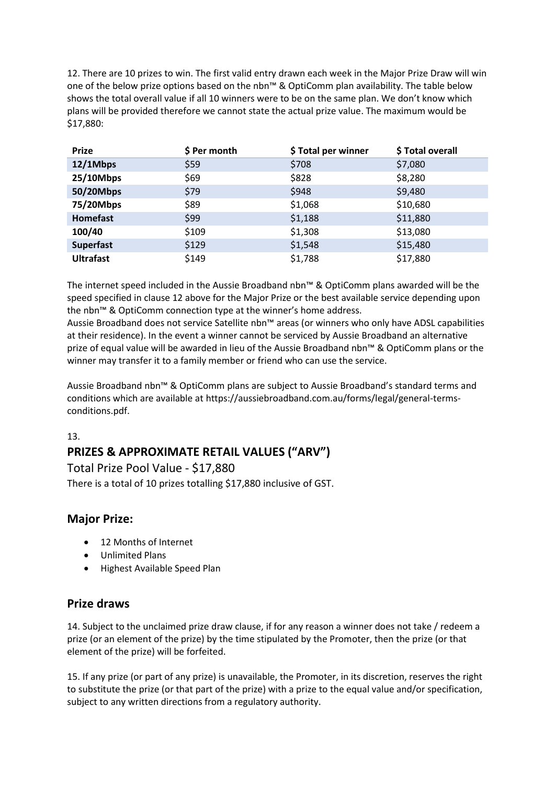12. There are 10 prizes to win. The first valid entry drawn each week in the Major Prize Draw will win one of the below prize options based on the nbn™ & OptiComm plan availability. The table below shows the total overall value if all 10 winners were to be on the same plan. We don't know which plans will be provided therefore we cannot state the actual prize value. The maximum would be \$17,880:

| <b>Prize</b>     | \$ Per month | \$Total per winner | \$Total overall |
|------------------|--------------|--------------------|-----------------|
| 12/1Mbps         | \$59         | \$708              | \$7,080         |
| 25/10Mbps        | \$69         | \$828              | \$8,280         |
| 50/20Mbps        | \$79         | \$948              | \$9,480         |
| 75/20Mbps        | \$89         | \$1,068            | \$10,680        |
| Homefast         | \$99         | \$1,188            | \$11,880        |
| 100/40           | \$109        | \$1,308            | \$13,080        |
| <b>Superfast</b> | \$129        | \$1,548            | \$15,480        |
| <b>Ultrafast</b> | \$149        | \$1,788            | \$17,880        |

The internet speed included in the Aussie Broadband nbn™️ & OptiComm plans awarded will be the speed specified in clause 12 above for the Major Prize or the best available service depending upon the nbn<sup>™</sup> & OptiComm connection type at the winner's home address.

Aussie Broadband does not service Satellite nbn™️ areas (or winners who only have ADSL capabilities at their residence). In the event a winner cannot be serviced by Aussie Broadband an alternative prize of equal value will be awarded in lieu of the Aussie Broadband nbn™️ & OptiComm plans or the winner may transfer it to a family member or friend who can use the service.

Aussie Broadband nbn™️ & OptiComm plans are subject to Aussie Broadband's standard terms and conditions which are available at https://aussiebroadband.com.au/forms/legal/general-termsconditions.pdf.

## 13.

# **PRIZES & APPROXIMATE RETAIL VALUES ("ARV")**

Total Prize Pool Value - \$17,880 There is a total of 10 prizes totalling \$17,880 inclusive of GST.

# **Major Prize:**

- 12 Months of Internet
- Unlimited Plans
- Highest Available Speed Plan

# **Prize draws**

14. Subject to the unclaimed prize draw clause, if for any reason a winner does not take / redeem a prize (or an element of the prize) by the time stipulated by the Promoter, then the prize (or that element of the prize) will be forfeited.

15. If any prize (or part of any prize) is unavailable, the Promoter, in its discretion, reserves the right to substitute the prize (or that part of the prize) with a prize to the equal value and/or specification, subject to any written directions from a regulatory authority.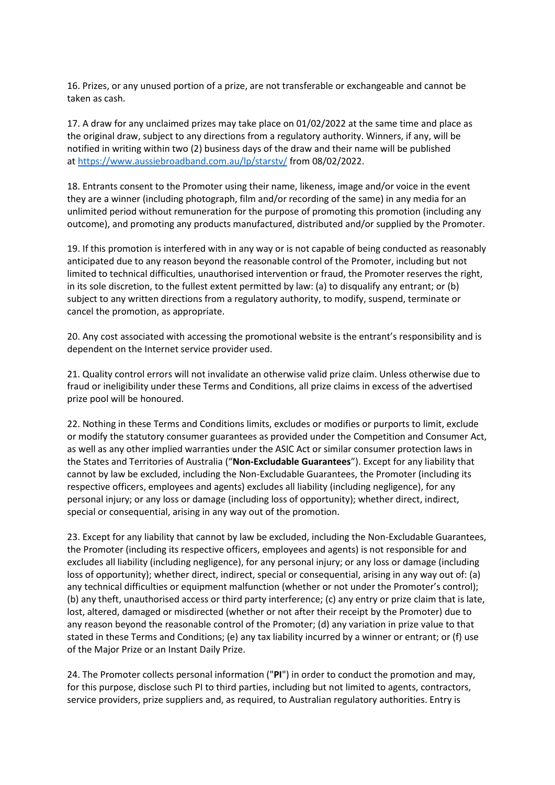16. Prizes, or any unused portion of a prize, are not transferable or exchangeable and cannot be taken as cash.

17. A draw for any unclaimed prizes may take place on 01/02/2022 at the same time and place as the original draw, subject to any directions from a regulatory authority. Winners, if any, will be notified in writing within two (2) business days of the draw and their name will be published at <https://www.aussiebroadband.com.au/lp/starstv/> from 08/02/2022.

18. Entrants consent to the Promoter using their name, likeness, image and/or voice in the event they are a winner (including photograph, film and/or recording of the same) in any media for an unlimited period without remuneration for the purpose of promoting this promotion (including any outcome), and promoting any products manufactured, distributed and/or supplied by the Promoter.

19. If this promotion is interfered with in any way or is not capable of being conducted as reasonably anticipated due to any reason beyond the reasonable control of the Promoter, including but not limited to technical difficulties, unauthorised intervention or fraud, the Promoter reserves the right, in its sole discretion, to the fullest extent permitted by law: (a) to disqualify any entrant; or (b) subject to any written directions from a regulatory authority, to modify, suspend, terminate or cancel the promotion, as appropriate.

20. Any cost associated with accessing the promotional website is the entrant's responsibility and is dependent on the Internet service provider used.

21. Quality control errors will not invalidate an otherwise valid prize claim. Unless otherwise due to fraud or ineligibility under these Terms and Conditions, all prize claims in excess of the advertised prize pool will be honoured.

22. Nothing in these Terms and Conditions limits, excludes or modifies or purports to limit, exclude or modify the statutory consumer guarantees as provided under the Competition and Consumer Act, as well as any other implied warranties under the ASIC Act or similar consumer protection laws in the States and Territories of Australia ("**Non-Excludable Guarantees**"). Except for any liability that cannot by law be excluded, including the Non-Excludable Guarantees, the Promoter (including its respective officers, employees and agents) excludes all liability (including negligence), for any personal injury; or any loss or damage (including loss of opportunity); whether direct, indirect, special or consequential, arising in any way out of the promotion.

23. Except for any liability that cannot by law be excluded, including the Non-Excludable Guarantees, the Promoter (including its respective officers, employees and agents) is not responsible for and excludes all liability (including negligence), for any personal injury; or any loss or damage (including loss of opportunity); whether direct, indirect, special or consequential, arising in any way out of: (a) any technical difficulties or equipment malfunction (whether or not under the Promoter's control); (b) any theft, unauthorised access or third party interference; (c) any entry or prize claim that is late, lost, altered, damaged or misdirected (whether or not after their receipt by the Promoter) due to any reason beyond the reasonable control of the Promoter; (d) any variation in prize value to that stated in these Terms and Conditions; (e) any tax liability incurred by a winner or entrant; or (f) use of the Major Prize or an Instant Daily Prize.

24. The Promoter collects personal information ("**PI**") in order to conduct the promotion and may, for this purpose, disclose such PI to third parties, including but not limited to agents, contractors, service providers, prize suppliers and, as required, to Australian regulatory authorities. Entry is